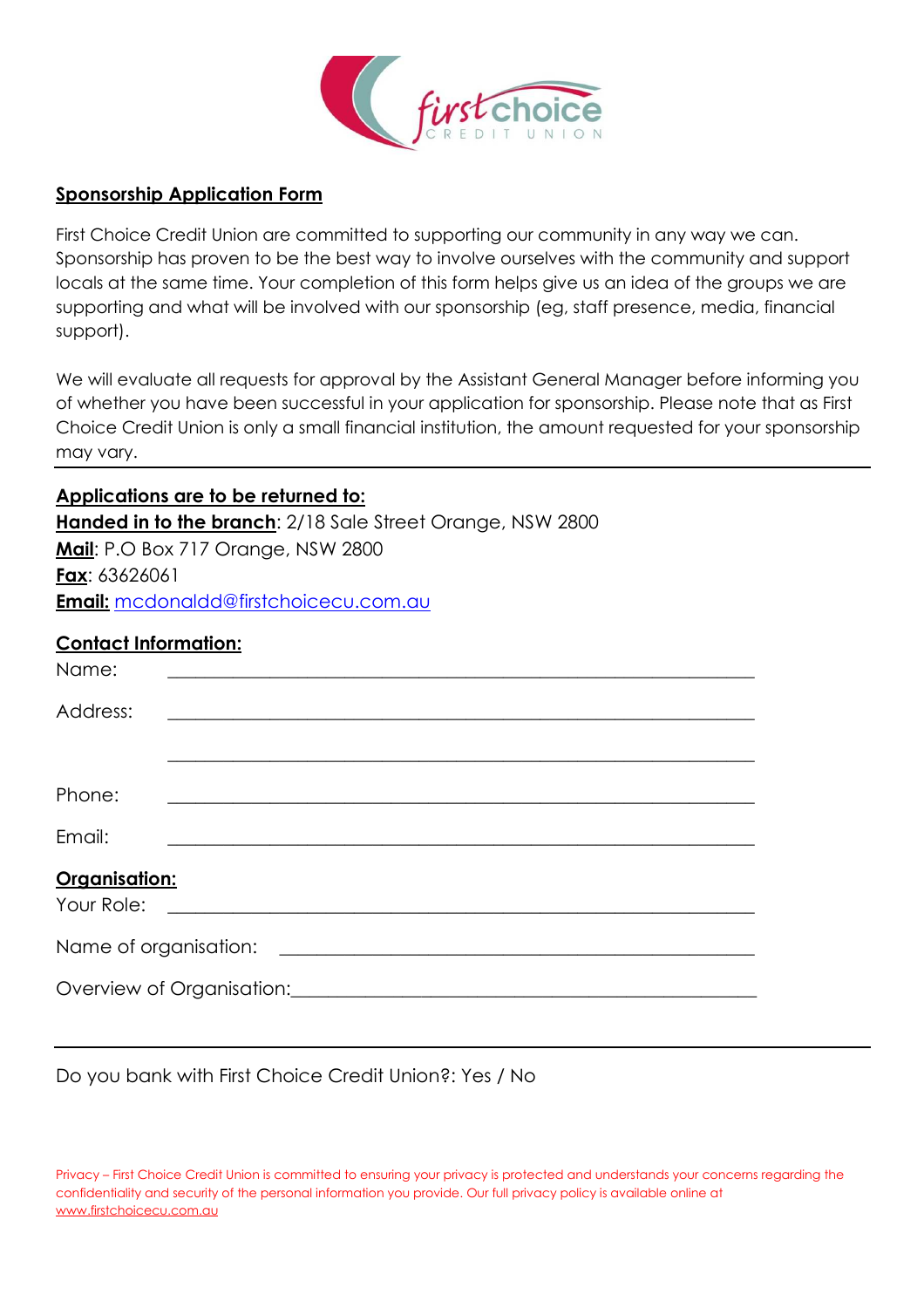

#### **Sponsorship Application Form**

First Choice Credit Union are committed to supporting our community in any way we can. Sponsorship has proven to be the best way to involve ourselves with the community and support locals at the same time. Your completion of this form helps give us an idea of the groups we are supporting and what will be involved with our sponsorship (eg, staff presence, media, financial support).

We will evaluate all requests for approval by the Assistant General Manager before informing you of whether you have been successful in your application for sponsorship. Please note that as First Choice Credit Union is only a small financial institution, the amount requested for your sponsorship may vary.

**Applications are to be returned to: Handed in to the branch**: 2/18 Sale Street Orange, NSW 2800 **Mail**: P.O Box 717 Orange, NSW 2800 **Fax**: 63626061 **Email:** mcdonaldd@firstchoicecu.com.au

## **Contact Information:**

| Name:                                                              |  |  |  |
|--------------------------------------------------------------------|--|--|--|
| Address:                                                           |  |  |  |
|                                                                    |  |  |  |
| Phone:                                                             |  |  |  |
| Email:                                                             |  |  |  |
| Organisation:<br>Your Role:                                        |  |  |  |
| Name of organisation:                                              |  |  |  |
| Overview of Organisation: Discussion and Contract of Organisation: |  |  |  |

Do you bank with First Choice Credit Union?: Yes / No

Privacy – First Choice Credit Union is committed to ensuring your privacy is protected and understands your concerns regarding the confidentiality and security of the personal information you provide. Our full privacy policy is available online at www.firstchoicecu.com.au